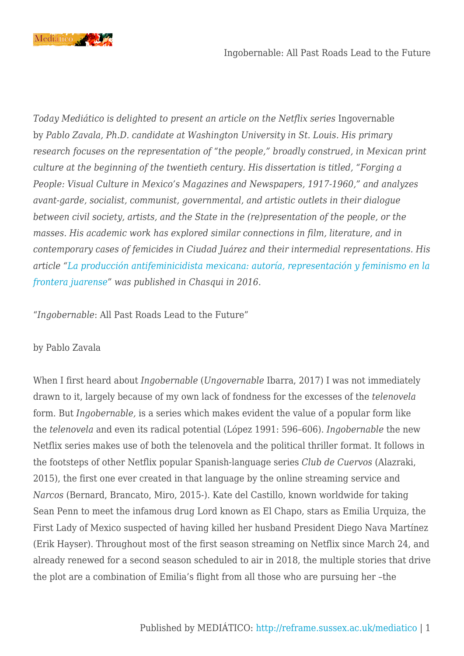

*Today Mediático is delighted to present an article on the Netflix series Ingovernable* by *Pablo Zavala, Ph.D. candidate at Washington University in St. Louis. His primary research focuses on the representation of "the people," broadly construed, in Mexican print culture at the beginning of the twentieth century. His dissertation is titled, "Forging a People: Visual Culture in Mexico's Magazines and Newspapers, 1917-1960," and analyzes avant-garde, socialist, communist, governmental, and artistic outlets in their dialogue between civil society, artists, and the State in the (re)presentation of the people, or the masses. His academic work has explored similar connections in film, literature, and in contemporary cases of femicides in Ciudad Juárez and their intermedial representations. His article "[La producción antifeminicidista mexicana: autoría, representación y feminismo en la](https://www.academia.edu/29841197/_La_producción_antifeminicidista_mexicana_autor%C3%ADa_representación_y_feminismo_en_la_frontera_juarense_) [frontera juarense](https://www.academia.edu/29841197/_La_producción_antifeminicidista_mexicana_autor%C3%ADa_representación_y_feminismo_en_la_frontera_juarense_)" was published in Chasqui in 2016.*

"*Ingobernable*: All Past Roads Lead to the Future"

## by Pablo Zavala

When I first heard about *Ingobernable* (*Ungovernable* Ibarra, 2017) I was not immediately drawn to it, largely because of my own lack of fondness for the excesses of the *telenovela* form. But *Ingobernable,* is a series which makes evident the value of a popular form like the *telenovela* and even its radical potential (López 1991: 596–606). *Ingobernable* the new Netflix series makes use of both the telenovela and the political thriller format. It follows in the footsteps of other Netflix popular Spanish-language series *Club de Cuervos* (Alazraki, 2015), the first one ever created in that language by the online streaming service and *Narcos* (Bernard, Brancato, Miro, 2015-). Kate del Castillo, known worldwide for taking Sean Penn to meet the infamous drug Lord known as El Chapo, stars as Emilia Urquiza, the First Lady of Mexico suspected of having killed her husband President Diego Nava Martínez (Erik Hayser). Throughout most of the first season streaming on Netflix since March 24, and already renewed for a second season scheduled to air in 2018, the multiple stories that drive the plot are a combination of Emilia's flight from all those who are pursuing her –the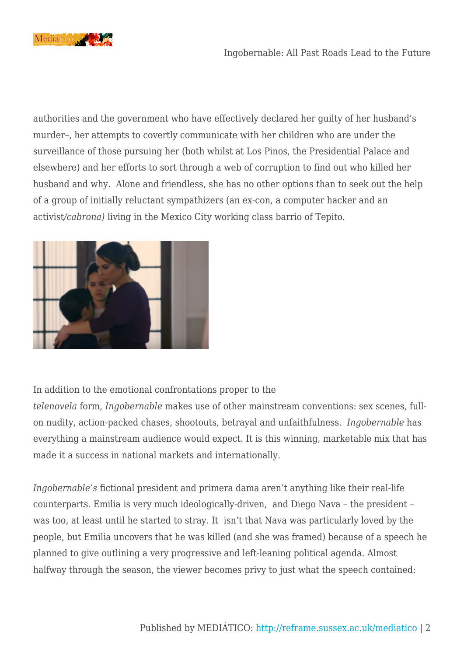

authorities and the government who have effectively declared her guilty of her husband's murder–, her attempts to covertly communicate with her children who are under the surveillance of those pursuing her (both whilst at Los Pinos, the Presidential Palace and elsewhere) and her efforts to sort through a web of corruption to find out who killed her husband and why. Alone and friendless, she has no other options than to seek out the help of a group of initially reluctant sympathizers (an ex-con, a computer hacker and an activist*/cabrona)* living in the Mexico City working class barrio of Tepito.



In addition to the emotional confrontations proper to the

*telenovela* form, *Ingobernable* makes use of other mainstream conventions: sex scenes, fullon nudity, action-packed chases, shootouts, betrayal and unfaithfulness. *Ingobernable* has everything a mainstream audience would expect. It is this winning, marketable mix that has made it a success in national markets and internationally.

*Ingobernable's* fictional president and primera dama aren't anything like their real-life counterparts. Emilia is very much ideologically-driven, and Diego Nava – the president – was too, at least until he started to stray. It isn't that Nava was particularly loved by the people, but Emilia uncovers that he was killed (and she was framed) because of a speech he planned to give outlining a very progressive and left-leaning political agenda. Almost halfway through the season, the viewer becomes privy to just what the speech contained: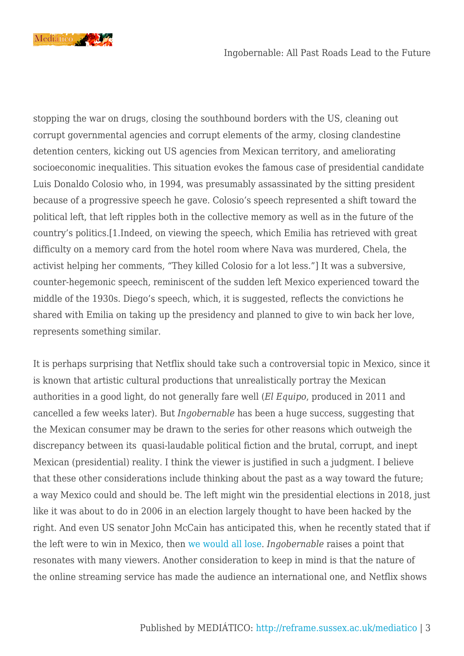

stopping the war on drugs, closing the southbound borders with the US, cleaning out corrupt governmental agencies and corrupt elements of the army, closing clandestine detention centers, kicking out US agencies from Mexican territory, and ameliorating socioeconomic inequalities. This situation evokes the famous case of presidential candidate Luis Donaldo Colosio who, in 1994, was presumably assassinated by the sitting president because of a progressive speech he gave. Colosio's speech represented a shift toward the political left, that left ripples both in the collective memory as well as in the future of the country's politics.[1.Indeed, on viewing the speech, which Emilia has retrieved with great difficulty on a memory card from the hotel room where Nava was murdered, Chela, the activist helping her comments, "They killed Colosio for a lot less."] It was a subversive, counter-hegemonic speech, reminiscent of the sudden left Mexico experienced toward the middle of the 1930s. Diego's speech, which, it is suggested, reflects the convictions he shared with Emilia on taking up the presidency and planned to give to win back her love, represents something similar.

It is perhaps surprising that Netflix should take such a controversial topic in Mexico, since it is known that artistic cultural productions that unrealistically portray the Mexican authorities in a good light, do not generally fare well (*El Equipo*, produced in 2011 and cancelled a few weeks later). But *Ingobernable* has been a huge success, suggesting that the Mexican consumer may be drawn to the series for other reasons which outweigh the discrepancy between its quasi-laudable political fiction and the brutal, corrupt, and inept Mexican (presidential) reality. I think the viewer is justified in such a judgment. I believe that these other considerations include thinking about the past as a way toward the future; a way Mexico could and should be. The left might win the presidential elections in 2018, just like it was about to do in 2006 in an election largely thought to have been hacked by the right. And even US senator John McCain has anticipated this, when he recently stated that if the left were to win in Mexico, then [we would all lose.](http://(http://www.elfinanciero.com.mx/nacional/mccain-y-kelly-ven-mal-para-eu-y-mexico-si-gana-un-izquierdista.html)) *Ingobernable* raises a point that resonates with many viewers. Another consideration to keep in mind is that the nature of the online streaming service has made the audience an international one, and Netflix shows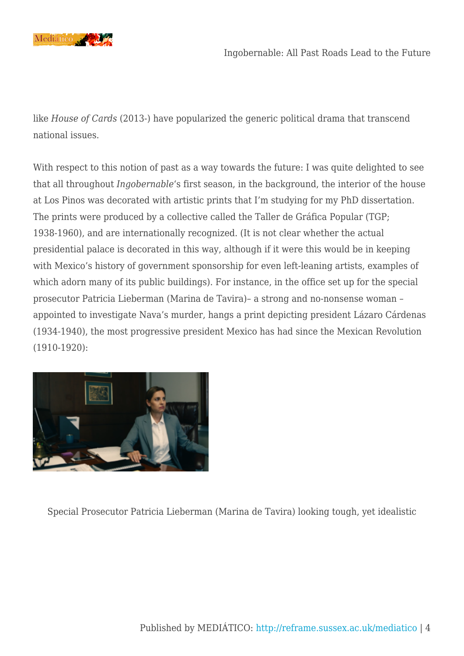

like *House of Cards* (2013-) have popularized the generic political drama that transcend national issues.

With respect to this notion of past as a way towards the future: I was quite delighted to see that all throughout *Ingobernable*'s first season, in the background, the interior of the house at Los Pinos was decorated with artistic prints that I'm studying for my PhD dissertation. The prints were produced by a collective called the Taller de Gráfica Popular (TGP; 1938-1960), and are internationally recognized. (It is not clear whether the actual presidential palace is decorated in this way, although if it were this would be in keeping with Mexico's history of government sponsorship for even left-leaning artists, examples of which adorn many of its public buildings). For instance, in the office set up for the special prosecutor Patricia Lieberman (Marina de Tavira)– a strong and no-nonsense woman – appointed to investigate Nava's murder, hangs a print depicting president Lázaro Cárdenas (1934-1940), the most progressive president Mexico has had since the Mexican Revolution (1910-1920):



Special Prosecutor Patricia Lieberman (Marina de Tavira) looking tough, yet idealistic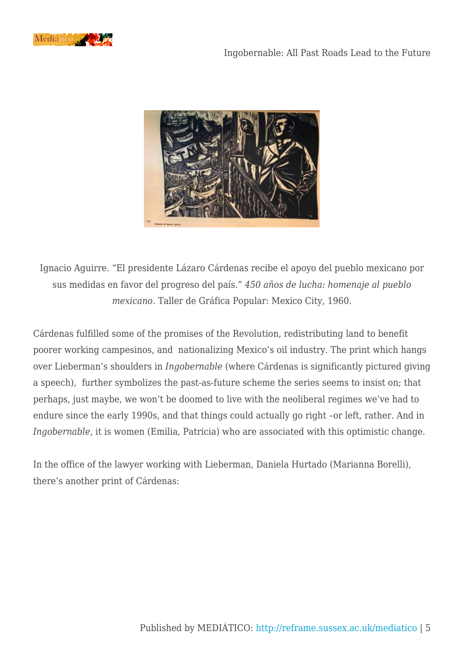



Ignacio Aguirre. "El presidente Lázaro Cárdenas recibe el apoyo del pueblo mexicano por sus medidas en favor del progreso del país." *450 años de lucha: homenaje al pueblo mexicano*. Taller de Gráfica Popular: Mexico City, 1960.

Cárdenas fulfilled some of the promises of the Revolution, redistributing land to benefit poorer working campesinos, and nationalizing Mexico's oil industry. The print which hangs over Lieberman's shoulders in *Ingobernable* (where Cárdenas is significantly pictured giving a speech), further symbolizes the past-as-future scheme the series seems to insist on; that perhaps, just maybe, we won't be doomed to live with the neoliberal regimes we've had to endure since the early 1990s, and that things could actually go right –or left, rather. And in *Ingobernable*, it is women (Emilia, Patricia) who are associated with this optimistic change.

In the office of the lawyer working with Lieberman, Daniela Hurtado (Marianna Borelli), there's another print of Cárdenas: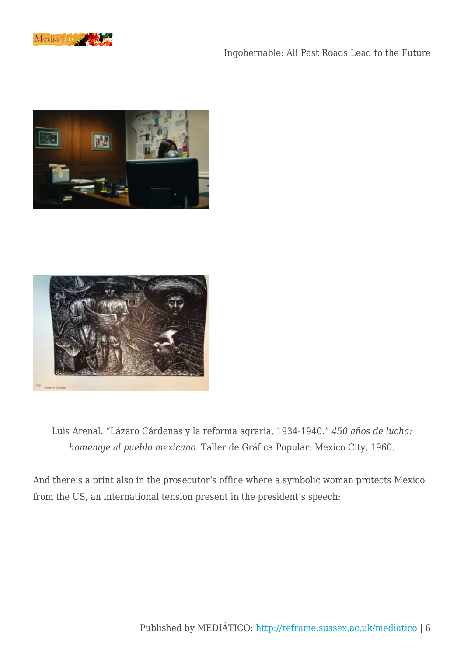

## Ingobernable: All Past Roads Lead to the Future





Luis Arenal. "Lázaro Cárdenas y la reforma agraria, 1934-1940." *450 años de lucha: homenaje al pueblo mexicano*. Taller de Gráfica Popular: Mexico City, 1960.

And there's a print also in the prosecutor's office where a symbolic woman protects Mexico from the US, an international tension present in the president's speech: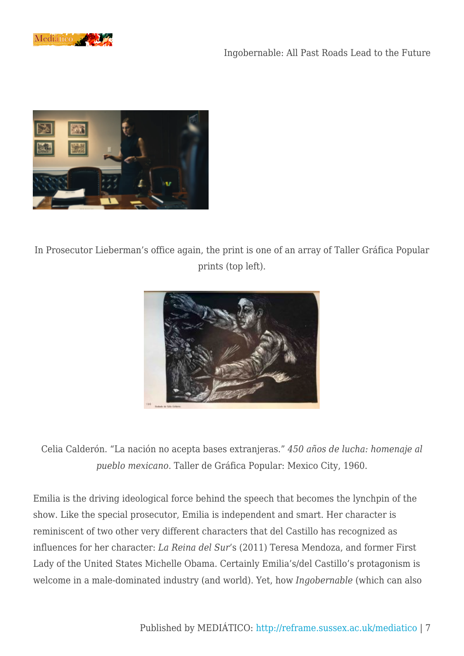



In Prosecutor Lieberman's office again, the print is one of an array of Taller Gráfica Popular prints (top left).



Celia Calderón. "La nación no acepta bases extranjeras." *450 años de lucha: homenaje al pueblo mexicano*. Taller de Gráfica Popular: Mexico City, 1960.

Emilia is the driving ideological force behind the speech that becomes the lynchpin of the show. Like the special prosecutor, Emilia is independent and smart. Her character is reminiscent of two other very different characters that del Castillo has recognized as influences for her character: *La Reina del Sur*'s (2011) Teresa Mendoza, and former First Lady of the United States Michelle Obama. Certainly Emilia's/del Castillo's protagonism is welcome in a male-dominated industry (and world). Yet, how *Ingobernable* (which can also